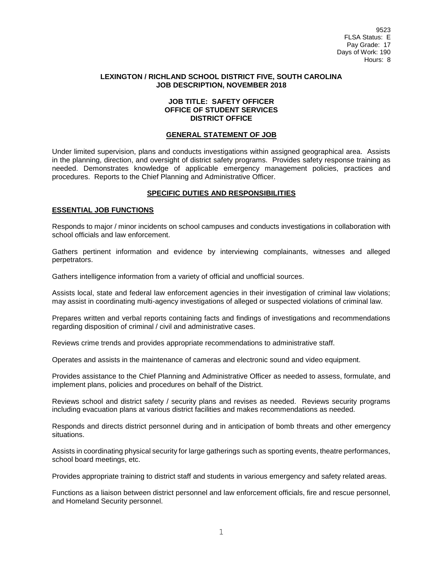9523 FLSA Status: E Pay Grade: 17 Days of Work: 190 Hours: 8

#### **LEXINGTON / RICHLAND SCHOOL DISTRICT FIVE, SOUTH CAROLINA JOB DESCRIPTION, NOVEMBER 2018**

#### **JOB TITLE: SAFETY OFFICER OFFICE OF STUDENT SERVICES DISTRICT OFFICE**

#### **GENERAL STATEMENT OF JOB**

Under limited supervision, plans and conducts investigations within assigned geographical area. Assists in the planning, direction, and oversight of district safety programs. Provides safety response training as needed. Demonstrates knowledge of applicable emergency management policies, practices and procedures. Reports to the Chief Planning and Administrative Officer.

### **SPECIFIC DUTIES AND RESPONSIBILITIES**

#### **ESSENTIAL JOB FUNCTIONS**

Responds to major / minor incidents on school campuses and conducts investigations in collaboration with school officials and law enforcement.

Gathers pertinent information and evidence by interviewing complainants, witnesses and alleged perpetrators.

Gathers intelligence information from a variety of official and unofficial sources.

Assists local, state and federal law enforcement agencies in their investigation of criminal law violations; may assist in coordinating multi-agency investigations of alleged or suspected violations of criminal law.

Prepares written and verbal reports containing facts and findings of investigations and recommendations regarding disposition of criminal / civil and administrative cases.

Reviews crime trends and provides appropriate recommendations to administrative staff.

Operates and assists in the maintenance of cameras and electronic sound and video equipment.

Provides assistance to the Chief Planning and Administrative Officer as needed to assess, formulate, and implement plans, policies and procedures on behalf of the District.

Reviews school and district safety / security plans and revises as needed. Reviews security programs including evacuation plans at various district facilities and makes recommendations as needed.

Responds and directs district personnel during and in anticipation of bomb threats and other emergency situations.

Assists in coordinating physical security for large gatherings such as sporting events, theatre performances, school board meetings, etc.

Provides appropriate training to district staff and students in various emergency and safety related areas.

Functions as a liaison between district personnel and law enforcement officials, fire and rescue personnel, and Homeland Security personnel.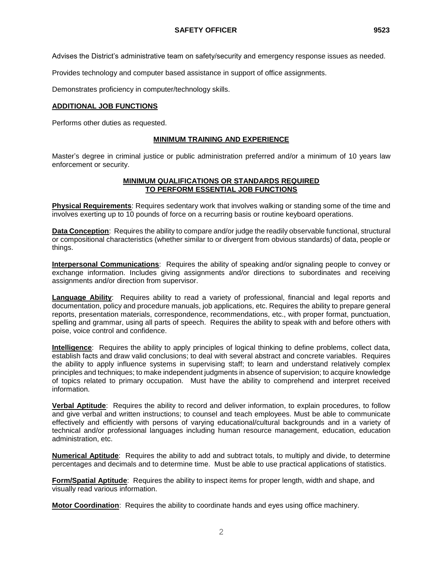Provides technology and computer based assistance in support of office assignments.

Demonstrates proficiency in computer/technology skills.

## **ADDITIONAL JOB FUNCTIONS**

Performs other duties as requested.

# **MINIMUM TRAINING AND EXPERIENCE**

Master's degree in criminal justice or public administration preferred and/or a minimum of 10 years law enforcement or security.

## **MINIMUM QUALIFICATIONS OR STANDARDS REQUIRED TO PERFORM ESSENTIAL JOB FUNCTIONS**

**Physical Requirements**: Requires sedentary work that involves walking or standing some of the time and involves exerting up to 10 pounds of force on a recurring basis or routine keyboard operations.

**Data Conception**: Requires the ability to compare and/or judge the readily observable functional, structural or compositional characteristics (whether similar to or divergent from obvious standards) of data, people or things.

**Interpersonal Communications**: Requires the ability of speaking and/or signaling people to convey or exchange information. Includes giving assignments and/or directions to subordinates and receiving assignments and/or direction from supervisor.

**Language Ability**: Requires ability to read a variety of professional, financial and legal reports and documentation, policy and procedure manuals, job applications, etc. Requires the ability to prepare general reports, presentation materials, correspondence, recommendations, etc., with proper format, punctuation, spelling and grammar, using all parts of speech. Requires the ability to speak with and before others with poise, voice control and confidence.

**Intelligence**: Requires the ability to apply principles of logical thinking to define problems, collect data, establish facts and draw valid conclusions; to deal with several abstract and concrete variables. Requires the ability to apply influence systems in supervising staff; to learn and understand relatively complex principles and techniques; to make independent judgments in absence of supervision; to acquire knowledge of topics related to primary occupation. Must have the ability to comprehend and interpret received information.

**Verbal Aptitude**: Requires the ability to record and deliver information, to explain procedures, to follow and give verbal and written instructions; to counsel and teach employees. Must be able to communicate effectively and efficiently with persons of varying educational/cultural backgrounds and in a variety of technical and/or professional languages including human resource management, education, education administration, etc.

**Numerical Aptitude**: Requires the ability to add and subtract totals, to multiply and divide, to determine percentages and decimals and to determine time. Must be able to use practical applications of statistics.

**Form/Spatial Aptitude**: Requires the ability to inspect items for proper length, width and shape, and visually read various information.

**Motor Coordination**: Requires the ability to coordinate hands and eyes using office machinery.

2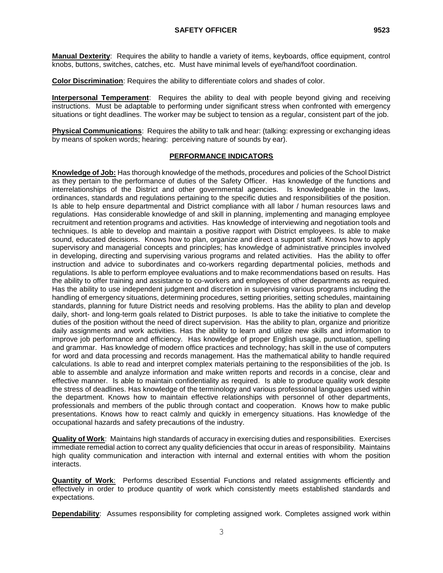**Manual Dexterity**: Requires the ability to handle a variety of items, keyboards, office equipment, control knobs, buttons, switches, catches, etc. Must have minimal levels of eye/hand/foot coordination.

**Color Discrimination**: Requires the ability to differentiate colors and shades of color.

**Interpersonal Temperament**: Requires the ability to deal with people beyond giving and receiving instructions. Must be adaptable to performing under significant stress when confronted with emergency situations or tight deadlines. The worker may be subject to tension as a regular, consistent part of the job.

**Physical Communications**: Requires the ability to talk and hear: (talking: expressing or exchanging ideas by means of spoken words; hearing: perceiving nature of sounds by ear).

### **PERFORMANCE INDICATORS**

**Knowledge of Job:** Has thorough knowledge of the methods, procedures and policies of the School District as they pertain to the performance of duties of the Safety Officer. Has knowledge of the functions and interrelationships of the District and other governmental agencies. Is knowledgeable in the laws, ordinances, standards and regulations pertaining to the specific duties and responsibilities of the position. Is able to help ensure departmental and District compliance with all labor / human resources laws and regulations. Has considerable knowledge of and skill in planning, implementing and managing employee recruitment and retention programs and activities. Has knowledge of interviewing and negotiation tools and techniques. Is able to develop and maintain a positive rapport with District employees. Is able to make sound, educated decisions. Knows how to plan, organize and direct a support staff. Knows how to apply supervisory and managerial concepts and principles; has knowledge of administrative principles involved in developing, directing and supervising various programs and related activities. Has the ability to offer instruction and advice to subordinates and co-workers regarding departmental policies, methods and regulations. Is able to perform employee evaluations and to make recommendations based on results. Has the ability to offer training and assistance to co-workers and employees of other departments as required. Has the ability to use independent judgment and discretion in supervising various programs including the handling of emergency situations, determining procedures, setting priorities, setting schedules, maintaining standards, planning for future District needs and resolving problems. Has the ability to plan and develop daily, short- and long-term goals related to District purposes. Is able to take the initiative to complete the duties of the position without the need of direct supervision. Has the ability to plan, organize and prioritize daily assignments and work activities. Has the ability to learn and utilize new skills and information to improve job performance and efficiency. Has knowledge of proper English usage, punctuation, spelling and grammar. Has knowledge of modern office practices and technology; has skill in the use of computers for word and data processing and records management. Has the mathematical ability to handle required calculations. Is able to read and interpret complex materials pertaining to the responsibilities of the job. Is able to assemble and analyze information and make written reports and records in a concise, clear and effective manner. Is able to maintain confidentiality as required. Is able to produce quality work despite the stress of deadlines. Has knowledge of the terminology and various professional languages used within the department. Knows how to maintain effective relationships with personnel of other departments, professionals and members of the public through contact and cooperation. Knows how to make public presentations. Knows how to react calmly and quickly in emergency situations. Has knowledge of the occupational hazards and safety precautions of the industry.

**Quality of Work**: Maintains high standards of accuracy in exercising duties and responsibilities. Exercises immediate remedial action to correct any quality deficiencies that occur in areas of responsibility. Maintains high quality communication and interaction with internal and external entities with whom the position interacts.

**Quantity of Work**: Performs described Essential Functions and related assignments efficiently and effectively in order to produce quantity of work which consistently meets established standards and expectations.

**Dependability**: Assumes responsibility for completing assigned work. Completes assigned work within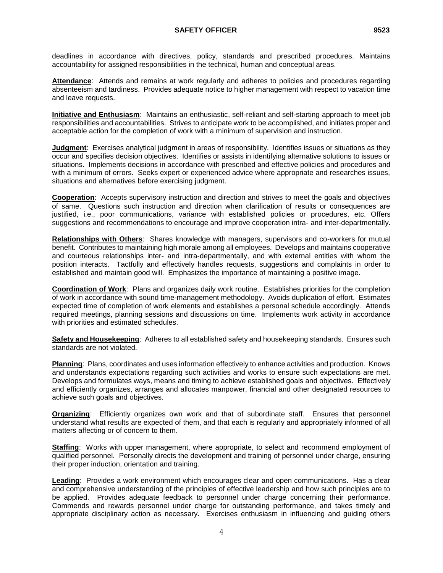deadlines in accordance with directives, policy, standards and prescribed procedures. Maintains accountability for assigned responsibilities in the technical, human and conceptual areas.

**Attendance**: Attends and remains at work regularly and adheres to policies and procedures regarding absenteeism and tardiness. Provides adequate notice to higher management with respect to vacation time and leave requests.

**Initiative and Enthusiasm**: Maintains an enthusiastic, self-reliant and self-starting approach to meet job responsibilities and accountabilities. Strives to anticipate work to be accomplished, and initiates proper and acceptable action for the completion of work with a minimum of supervision and instruction.

**Judgment**: Exercises analytical judgment in areas of responsibility. Identifies issues or situations as they occur and specifies decision objectives. Identifies or assists in identifying alternative solutions to issues or situations. Implements decisions in accordance with prescribed and effective policies and procedures and with a minimum of errors. Seeks expert or experienced advice where appropriate and researches issues, situations and alternatives before exercising judgment.

**Cooperation**: Accepts supervisory instruction and direction and strives to meet the goals and objectives of same. Questions such instruction and direction when clarification of results or consequences are justified, i.e., poor communications, variance with established policies or procedures, etc. Offers suggestions and recommendations to encourage and improve cooperation intra- and inter-departmentally.

**Relationships with Others**: Shares knowledge with managers, supervisors and co-workers for mutual benefit. Contributes to maintaining high morale among all employees. Develops and maintains cooperative and courteous relationships inter- and intra-departmentally, and with external entities with whom the position interacts. Tactfully and effectively handles requests, suggestions and complaints in order to established and maintain good will. Emphasizes the importance of maintaining a positive image.

**Coordination of Work**: Plans and organizes daily work routine. Establishes priorities for the completion of work in accordance with sound time-management methodology. Avoids duplication of effort. Estimates expected time of completion of work elements and establishes a personal schedule accordingly. Attends required meetings, planning sessions and discussions on time. Implements work activity in accordance with priorities and estimated schedules.

**Safety and Housekeeping**: Adheres to all established safety and housekeeping standards. Ensures such standards are not violated.

**Planning**: Plans, coordinates and uses information effectively to enhance activities and production. Knows and understands expectations regarding such activities and works to ensure such expectations are met. Develops and formulates ways, means and timing to achieve established goals and objectives. Effectively and efficiently organizes, arranges and allocates manpower, financial and other designated resources to achieve such goals and objectives.

**Organizing**: Efficiently organizes own work and that of subordinate staff. Ensures that personnel understand what results are expected of them, and that each is regularly and appropriately informed of all matters affecting or of concern to them.

**Staffing**: Works with upper management, where appropriate, to select and recommend employment of qualified personnel. Personally directs the development and training of personnel under charge, ensuring their proper induction, orientation and training.

**Leading**: Provides a work environment which encourages clear and open communications. Has a clear and comprehensive understanding of the principles of effective leadership and how such principles are to be applied. Provides adequate feedback to personnel under charge concerning their performance. Commends and rewards personnel under charge for outstanding performance, and takes timely and appropriate disciplinary action as necessary. Exercises enthusiasm in influencing and guiding others